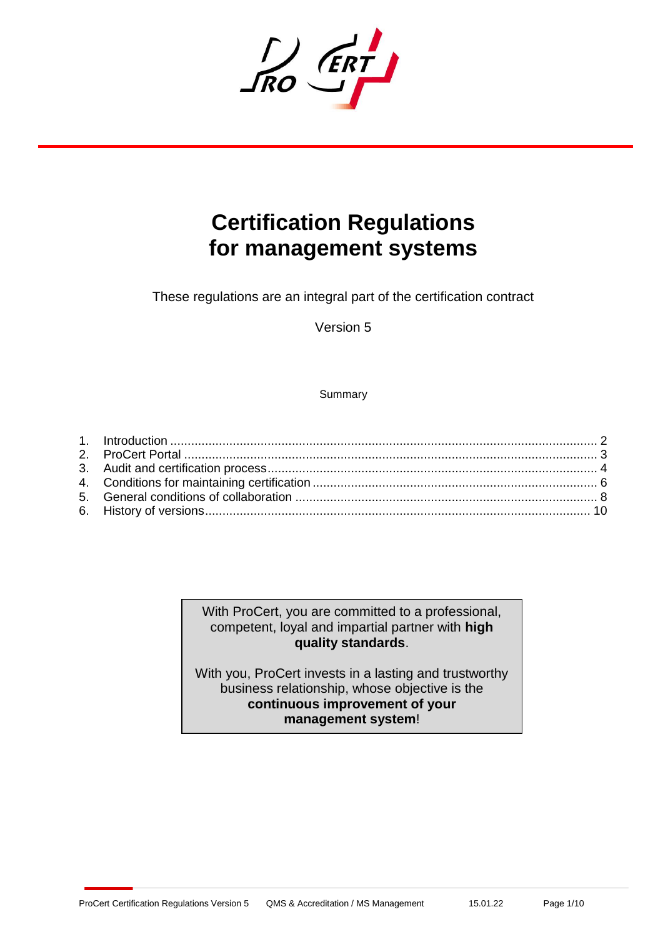IN ERT

# **Certification Regulations for management systems**

These regulations are an integral part of the certification contract

Version 5

**Summary** 

With ProCert, you are committed to a professional, competent, loyal and impartial partner with **high quality standards**.

With you, ProCert invests in a lasting and trustworthy business relationship, whose objective is the **continuous improvement of your management system**!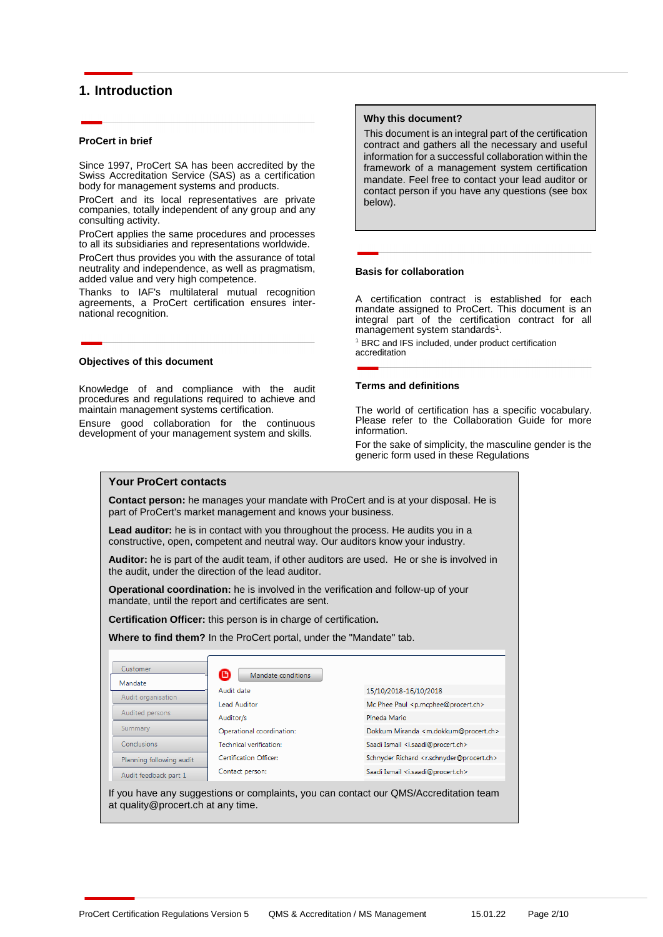## <span id="page-1-0"></span>**1. Introduction**

#### **ProCert in brief**

Since 1997, ProCert SA has been accredited by the Swiss Accreditation Service (SAS) as a certification body for management systems and products.

ProCert and its local representatives are private companies, totally independent of any group and any consulting activity.

ProCert applies the same procedures and processes to all its subsidiaries and representations worldwide.

ProCert thus provides you with the assurance of total neutrality and independence, as well as pragmatism, added value and very high competence.

Thanks to IAF's multilateral mutual recognition agreements, a ProCert certification ensures international recognition.

#### **Objectives of this document**

Knowledge of and compliance with the audit procedures and regulations required to achieve and maintain management systems certification.

Ensure good collaboration for the continuous development of your management system and skills.

#### **Why this document?**

This document is an integral part of the certification contract and gathers all the necessary and useful information for a successful collaboration within the framework of a management system certification mandate. Feel free to contact your lead auditor or contact person if you have any questions (see box below).

#### **Basis for collaboration**

A certification contract is established for each mandate assigned to ProCert. This document is an integral part of the certification contract for all management system standards<sup>1</sup>.

<sup>1</sup> BRC and IFS included, under product certification accreditation

#### **Terms and definitions**

The world of certification has a specific vocabulary. Please refer to the Collaboration Guide for more information.

For the sake of simplicity, the masculine gender is the generic form used in these Regulations

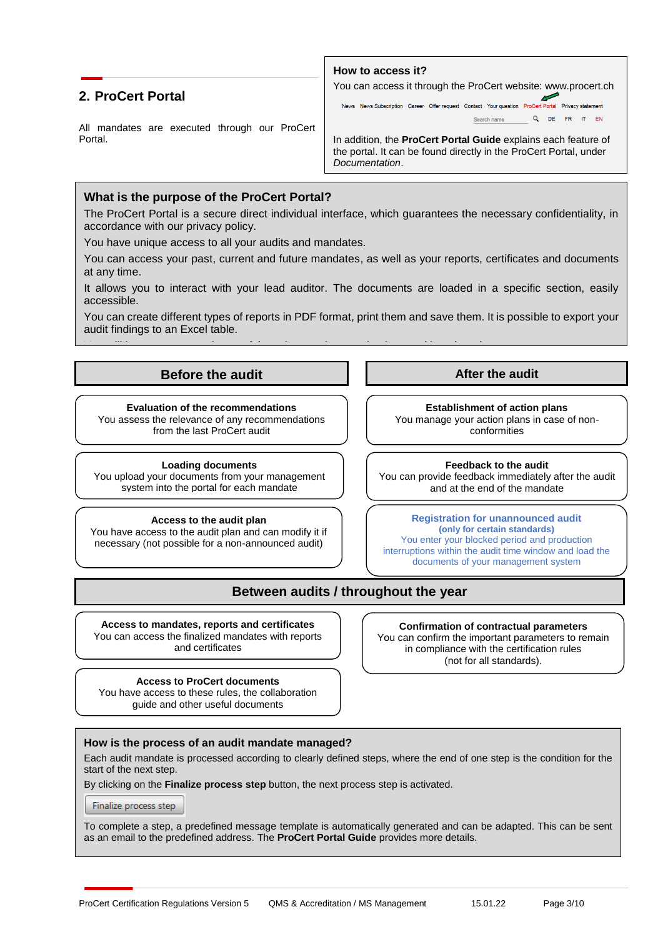## <span id="page-2-0"></span>**2. ProCert Portal**

All mandates are executed through our ProCert Portal.



In addition, the **ProCert Portal Guide** explains each feature of the portal. It can be found directly in the ProCert Portal, under *Documentation*.

## **What is the purpose of the ProCert Portal?**

The ProCert Portal is a secure direct individual interface, which guarantees the necessary confidentiality, in accordance with our privacy policy.

**How to access it?**

You have unique access to all your audits and mandates.

You can access your past, current and future mandates, as well as your reports, certificates and documents<br>at apy time at any time.

It allows you to interact with your lead auditor. The documents are loaded in a specific section, easily accessible.

You can create different types of reports in PDF format, print them and save them. It is possible to export your audit findings to an Excel table.

You will have access to other useful services such as evaluations and benchmarks.

# **Transfer Community Before the audit**<br> **Before the audit Before the audit**

**Evaluation of the recommendations** You assess the relevance of any recommendations. [159] You from the last ProCert audit

à vos certificats, et à vos documents.

vos constats d'audit dans un tableau Excel.

**Loading documents** You upload your documents from your management **I** vous permet de audit d'audit d'audit d'audit d'audit de la sont chargés dans une rubrique spécifique sont cha

You have access to the audit plan and can modify it if necessary (not possible for a non-announced audit)

**Establishment of action plans** You manage your action plans in case of nonconformities Le Portail ProCert est une interface individuelle directe sécurisée, qui garantit la confidentialité nécessaire, en conformité  $\begin{bmatrix} 1 & 0 & 0 \\ 0 & 1 & 0 \end{bmatrix}$ 

system into the portal for each mandate  $\begin{array}{c} \big\vert \qquad \big\vert \qquad \qquad \qquad \qquad \text{and at the end of the mandate} \end{array}$ You can provide feedback immediately after the audit and at the end of the mandate

**Registration for unannounced audit (only for certain standards)** You enter your blocked period and production interruptions within the audit time window and load the documents of your management system **Access to the audit plan Vous aures and the autres access to the audit plan** 

## **Between audits / throughout the year**

**Access to mandates, reports and certificates** You can access the finalized mandates with reports and certificates

**Access to ProCert documents**  You have access to these rules, the collaboration guide and other useful documents

**Confirmation of contractual parameters** You can confirm the important parameters to remain in compliance with the certification rules (not for all standards).

## **How is the process of an audit mandate managed?**

Each audit mandate is processed according to clearly defined steps, where the end of one step is the condition for the start of the next step.

By clicking on the **Finalize process step** button, the next process step is activated.

Finalize process step

To complete a step, a predefined message template is automatically generated and can be adapted. This can be sent as an email to the predefined address. The **ProCert Portal Guide** provides more details.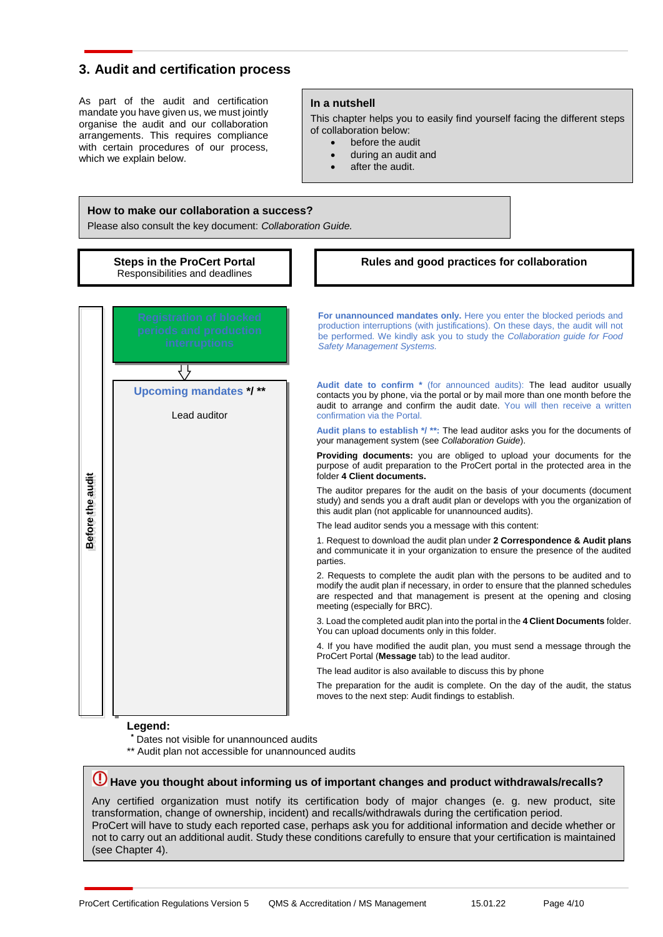## <span id="page-3-0"></span>**3. Audit and certification process**

As part of the audit and certification mandate you have given us, we must jointly organise the audit and our collaboration arrangements. This requires compliance with certain procedures of our process, which we explain below.

#### **In a nutshell**

This chapter helps you to easily find yourself facing the different steps of collaboration below:

- before the audit
- during an audit and
- after the audit.

#### **How to make our collaboration a success?**

Please also consult the key document: *Collaboration Guide.*



### **Legend:**

- **Dates not visible for unannounced audits**
- \*\* Audit plan not accessible for unannounced audits

# **Have you thought about informing us of important changes and product withdrawals/recalls?**

Any certified organization must notify its certification body of major changes (e. g. new product, site transformation, change of ownership, incident) and recalls/withdrawals during the certification period. ProCert will have to study each reported case, perhaps ask you for additional information and decide whether or not to carry out an additional audit. Study these conditions carefully to ensure that your certification is maintained (see Chapter 4).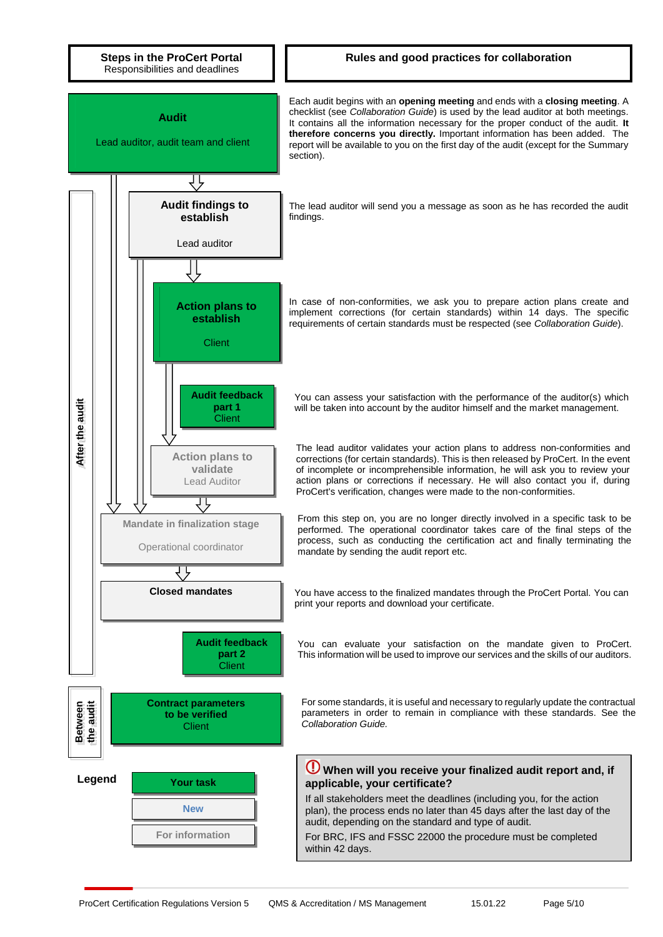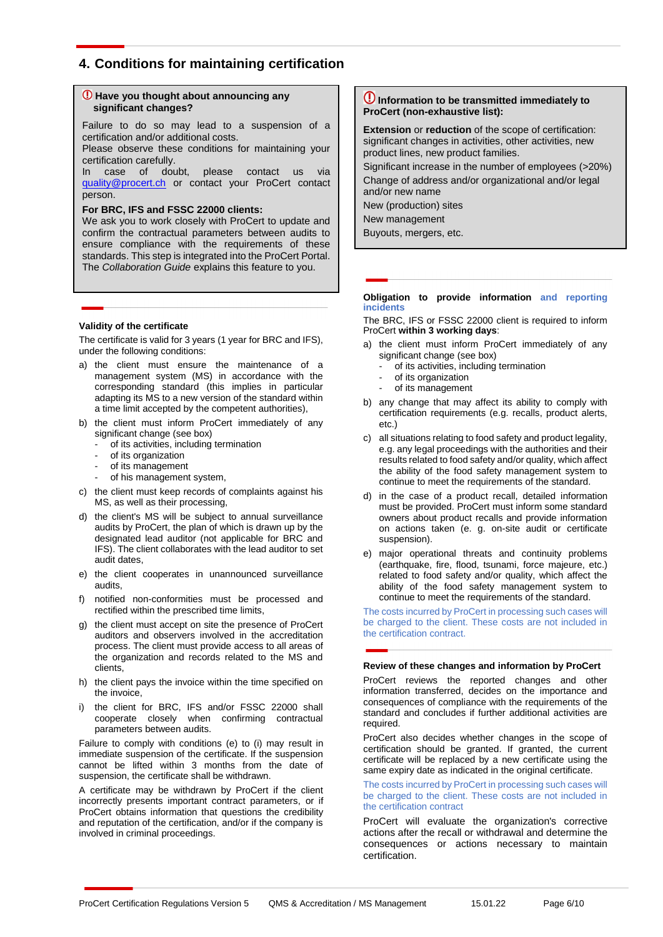## <span id="page-5-0"></span>**4. Conditions for maintaining certification**

#### **Have you thought about announcing any significant changes?**

Failure to do so may lead to a suspension of a certification and/or additional costs.

Please observe these conditions for maintaining your certification carefully.

In case of doubt, please contact us via [quality@procert.ch](mailto:quality@procert.ch) or contact your ProCert contact person.

#### **For BRC, IFS and FSSC 22000 clients:**

We ask you to work closely with ProCert to update and confirm the contractual parameters between audits to ensure compliance with the requirements of these standards. This step is integrated into the ProCert Portal. The *Collaboration Guide* explains this feature to you.

#### **Validity of the certificate**

The certificate is valid for 3 years (1 year for BRC and IFS), under the following conditions:

- a) the client must ensure the maintenance of a management system (MS) in accordance with the corresponding standard (this implies in particular adapting its MS to a new version of the standard within a time limit accepted by the competent authorities),
- b) the client must inform ProCert immediately of any significant change (see box)
	- of its activities, including termination
	- of its organization
	- of its management
	- of his management system,
- c) the client must keep records of complaints against his MS, as well as their processing,
- d) the client's MS will be subject to annual surveillance audits by ProCert, the plan of which is drawn up by the designated lead auditor (not applicable for BRC and IFS). The client collaborates with the lead auditor to set audit dates,
- e) the client cooperates in unannounced surveillance audits,
- f) notified non-conformities must be processed and rectified within the prescribed time limits,
- g) the client must accept on site the presence of ProCert auditors and observers involved in the accreditation process. The client must provide access to all areas of the organization and records related to the MS and clients,
- h) the client pays the invoice within the time specified on the invoice,
- i) the client for BRC, IFS and/or FSSC 22000 shall cooperate closely when confirming contractual parameters between audits.

Failure to comply with conditions (e) to (i) may result in immediate suspension of the certificate. If the suspension cannot be lifted within 3 months from the date of suspension, the certificate shall be withdrawn.

A certificate may be withdrawn by ProCert if the client incorrectly presents important contract parameters, or if ProCert obtains information that questions the credibility and reputation of the certification, and/or if the company is involved in criminal proceedings.

### **Information to be transmitted immediately to ProCert (non-exhaustive list):**

**Extension** or **reduction** of the scope of certification: significant changes in activities, other activities, new product lines, new product families.

Significant increase in the number of employees (>20%) Change of address and/or organizational and/or legal and/or new name

New (production) sites New management

Buyouts, mergers, etc.

#### **Obligation to provide information and reporting incidents**

The BRC, IFS or FSSC 22000 client is required to inform ProCert **within 3 working days**:

- a) the client must inform ProCert immediately of any significant change (see box)
	- of its activities, including termination
	- of its organization
	- of its management
- b) any change that may affect its ability to comply with certification requirements (e.g. recalls, product alerts, etc.)
- c) all situations relating to food safety and product legality, e.g. any legal proceedings with the authorities and their results related to food safety and/or quality, which affect the ability of the food safety management system to continue to meet the requirements of the standard.
- d) in the case of a product recall, detailed information must be provided. ProCert must inform some standard owners about product recalls and provide information on actions taken (e. g. on-site audit or certificate suspension).
- e) major operational threats and continuity problems (earthquake, fire, flood, tsunami, force majeure, etc.) related to food safety and/or quality, which affect the ability of the food safety management system to continue to meet the requirements of the standard.

The costs incurred by ProCert in processing such cases will be charged to the client. These costs are not included in the certification contract.

#### **Review of these changes and information by ProCert**

ProCert reviews the reported changes and other information transferred, decides on the importance and consequences of compliance with the requirements of the standard and concludes if further additional activities are required.

ProCert also decides whether changes in the scope of certification should be granted. If granted, the current certificate will be replaced by a new certificate using the same expiry date as indicated in the original certificate.

The costs incurred by ProCert in processing such cases will be charged to the client. These costs are not included in the certification contract

ProCert will evaluate the organization's corrective actions after the recall or withdrawal and determine the consequences or actions necessary to maintain certification.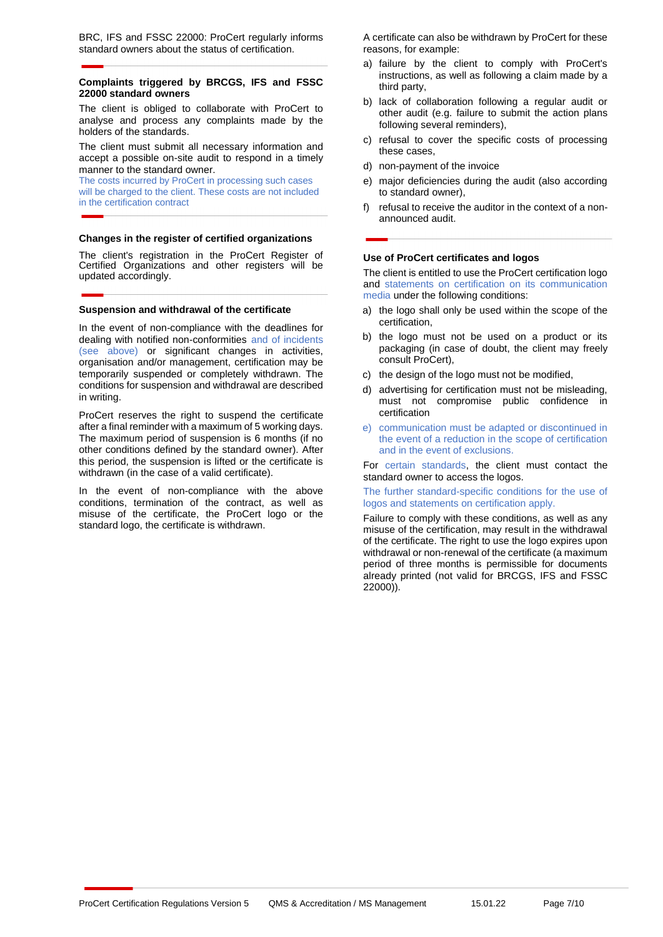BRC, IFS and FSSC 22000: ProCert regularly informs standard owners about the status of certification.

#### **Complaints triggered by BRCGS, IFS and FSSC 22000 standard owners**

The client is obliged to collaborate with ProCert to analyse and process any complaints made by the holders of the standards.

The client must submit all necessary information and accept a possible on-site audit to respond in a timely manner to the standard owner.

The costs incurred by ProCert in processing such cases will be charged to the client. These costs are not included in the certification contract

#### **Changes in the register of certified organizations**

The client's registration in the ProCert Register of Certified Organizations and other registers will be updated accordingly.

#### **Suspension and withdrawal of the certificate**

In the event of non-compliance with the deadlines for dealing with notified non-conformities and of incidents (see above) or significant changes in activities, organisation and/or management, certification may be temporarily suspended or completely withdrawn. The conditions for suspension and withdrawal are described in writing.

ProCert reserves the right to suspend the certificate after a final reminder with a maximum of 5 working days. The maximum period of suspension is 6 months (if no other conditions defined by the standard owner). After this period, the suspension is lifted or the certificate is withdrawn (in the case of a valid certificate).

In the event of non-compliance with the above conditions, termination of the contract, as well as misuse of the certificate, the ProCert logo or the standard logo, the certificate is withdrawn.

A certificate can also be withdrawn by ProCert for these reasons, for example:

- a) failure by the client to comply with ProCert's instructions, as well as following a claim made by a third party,
- b) lack of collaboration following a regular audit or other audit (e.g. failure to submit the action plans following several reminders),
- c) refusal to cover the specific costs of processing these cases,
- d) non-payment of the invoice
- e) major deficiencies during the audit (also according to standard owner),
- f) refusal to receive the auditor in the context of a nonannounced audit.

#### **Use of ProCert certificates and logos**

The client is entitled to use the ProCert certification logo and statements on certification on its communication media under the following conditions:

- a) the logo shall only be used within the scope of the certification,
- b) the logo must not be used on a product or its packaging (in case of doubt, the client may freely consult ProCert),
- c) the design of the logo must not be modified.
- d) advertising for certification must not be misleading, must not compromise public confidence in certification
- e) communication must be adapted or discontinued in the event of a reduction in the scope of certification and in the event of exclusions.

For certain standards, the client must contact the standard owner to access the logos.

The further standard-specific conditions for the use of logos and statements on certification apply.

Failure to comply with these conditions, as well as any misuse of the certification, may result in the withdrawal of the certificate. The right to use the logo expires upon withdrawal or non-renewal of the certificate (a maximum period of three months is permissible for documents already printed (not valid for BRCGS, IFS and FSSC 22000)).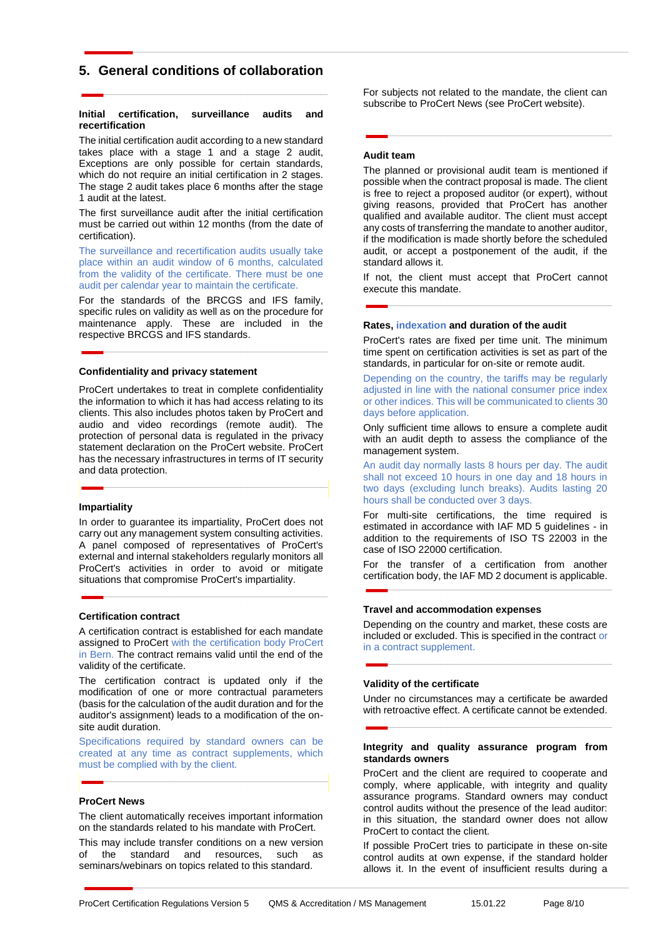## <span id="page-7-0"></span>**5. General conditions of collaboration**

#### **Initial certification, surveillance audits and recertification**

The initial certification audit according to a new standard takes place with a stage 1 and a stage 2 audit, Exceptions are only possible for certain standards, which do not require an initial certification in 2 stages. The stage 2 audit takes place 6 months after the stage 1 audit at the latest.

The first surveillance audit after the initial certification must be carried out within 12 months (from the date of certification).

The surveillance and recertification audits usually take place within an audit window of 6 months, calculated from the validity of the certificate. There must be one audit per calendar year to maintain the certificate.

For the standards of the BRCGS and IFS family, specific rules on validity as well as on the procedure for maintenance apply. These are included in the respective BRCGS and IFS standards.

#### **Confidentiality and privacy statement**

ProCert undertakes to treat in complete confidentiality the information to which it has had access relating to its clients. This also includes photos taken by ProCert and audio and video recordings (remote audit). The protection of personal data is regulated in the privacy statement declaration on the ProCert website. ProCert has the necessary infrastructures in terms of IT security and data protection.

#### **Impartiality**

In order to guarantee its impartiality, ProCert does not carry out any management system consulting activities. A panel composed of representatives of ProCert's external and internal stakeholders regularly monitors all ProCert's activities in order to avoid or mitigate situations that compromise ProCert's impartiality.

#### **Certification contract**

A certification contract is established for each mandate assigned to ProCert with the certification body ProCert in Bern. The contract remains valid until the end of the validity of the certificate.

The certification contract is updated only if the modification of one or more contractual parameters (basis for the calculation of the audit duration and for the auditor's assignment) leads to a modification of the onsite audit duration.

Specifications required by standard owners can be created at any time as contract supplements, which must be complied with by the client.

#### **ProCert News**

The client automatically receives important information on the standards related to his mandate with ProCert.

This may include transfer conditions on a new version of the standard and resources, such as seminars/webinars on topics related to this standard.

For subjects not related to the mandate, the client can subscribe to ProCert News (see ProCert website).

#### **Audit team**

The planned or provisional audit team is mentioned if possible when the contract proposal is made. The client is free to reject a proposed auditor (or expert), without giving reasons, provided that ProCert has another qualified and available auditor. The client must accept any costs of transferring the mandate to another auditor, if the modification is made shortly before the scheduled audit, or accept a postponement of the audit, if the standard allows it.

If not, the client must accept that ProCert cannot execute this mandate.

#### **Rates, indexation and duration of the audit**

ProCert's rates are fixed per time unit. The minimum time spent on certification activities is set as part of the standards, in particular for on-site or remote audit.

Depending on the country, the tariffs may be regularly adjusted in line with the national consumer price index or other indices. This will be communicated to clients 30 days before application.

Only sufficient time allows to ensure a complete audit with an audit depth to assess the compliance of the management system.

An audit day normally lasts 8 hours per day. The audit shall not exceed 10 hours in one day and 18 hours in two days (excluding lunch breaks). Audits lasting 20 hours shall be conducted over 3 days.

For multi-site certifications, the time required is estimated in accordance with IAF MD 5 guidelines - in addition to the requirements of ISO TS 22003 in the case of ISO 22000 certification.

For the transfer of a certification from another certification body, the IAF MD 2 document is applicable.

#### **Travel and accommodation expenses**

Depending on the country and market, these costs are included or excluded. This is specified in the contract or in a contract supplement.

#### **Validity of the certificate**

Under no circumstances may a certificate be awarded with retroactive effect. A certificate cannot be extended.

#### **Integrity and quality assurance program from standards owners**

ProCert and the client are required to cooperate and comply, where applicable, with integrity and quality assurance programs. Standard owners may conduct control audits without the presence of the lead auditor: in this situation, the standard owner does not allow ProCert to contact the client.

If possible ProCert tries to participate in these on-site control audits at own expense, if the standard holder allows it. In the event of insufficient results during a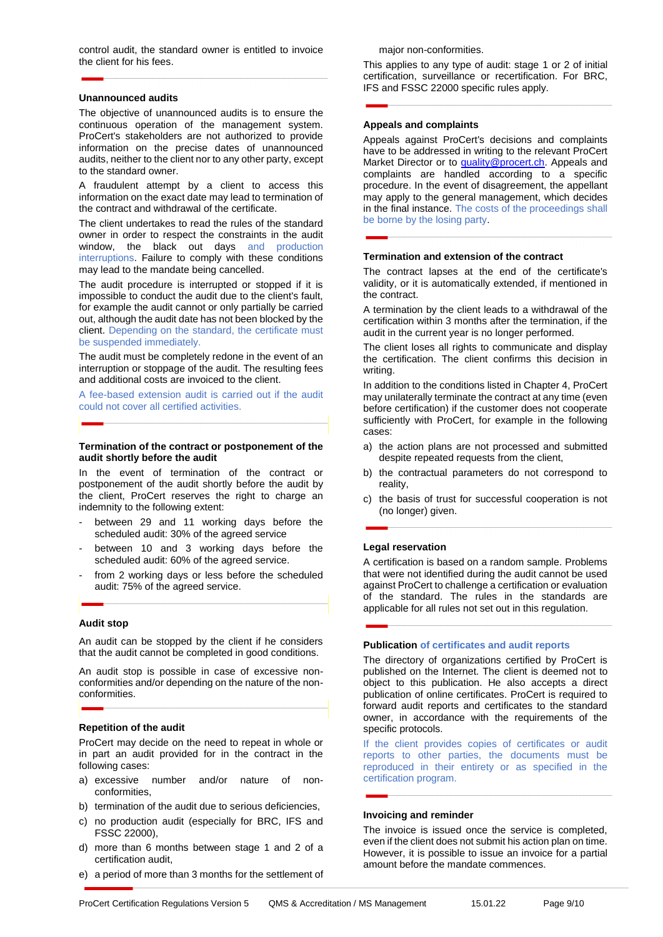control audit, the standard owner is entitled to invoice the client for his fees.

#### **Unannounced audits**

The objective of unannounced audits is to ensure the continuous operation of the management system. ProCert's stakeholders are not authorized to provide information on the precise dates of unannounced audits, neither to the client nor to any other party, except to the standard owner.

A fraudulent attempt by a client to access this information on the exact date may lead to termination of the contract and withdrawal of the certificate.

The client undertakes to read the rules of the standard owner in order to respect the constraints in the audit window, the black out days and production interruptions. Failure to comply with these conditions may lead to the mandate being cancelled.

The audit procedure is interrupted or stopped if it is impossible to conduct the audit due to the client's fault, for example the audit cannot or only partially be carried out, although the audit date has not been blocked by the client. Depending on the standard, the certificate must be suspended immediately.

The audit must be completely redone in the event of an interruption or stoppage of the audit. The resulting fees and additional costs are invoiced to the client.

A fee-based extension audit is carried out if the audit could not cover all certified activities.

#### **Termination of the contract or postponement of the audit shortly before the audit**

In the event of termination of the contract or postponement of the audit shortly before the audit by the client, ProCert reserves the right to charge an indemnity to the following extent:

- between 29 and 11 working days before the scheduled audit: 30% of the agreed service
- between 10 and 3 working days before the scheduled audit: 60% of the agreed service.
- from 2 working days or less before the scheduled audit: 75% of the agreed service.

#### **Audit stop**

An audit can be stopped by the client if he considers that the audit cannot be completed in good conditions.

An audit stop is possible in case of excessive nonconformities and/or depending on the nature of the nonconformities.

#### **Repetition of the audit**

ProCert may decide on the need to repeat in whole or in part an audit provided for in the contract in the following cases:

- a) excessive number and/or nature of nonconformities,
- b) termination of the audit due to serious deficiencies,
- c) no production audit (especially for BRC, IFS and FSSC 22000),
- d) more than 6 months between stage 1 and 2 of a certification audit,
- e) a period of more than 3 months for the settlement of

major non-conformities.

This applies to any type of audit: stage 1 or 2 of initial certification, surveillance or recertification. For BRC, IFS and FSSC 22000 specific rules apply.

#### **Appeals and complaints**

Appeals against ProCert's decisions and complaints have to be addressed in writing to the relevant ProCert Market Director or to **quality@procert.ch**. Appeals and complaints are handled according to a specific procedure. In the event of disagreement, the appellant may apply to the general management, which decides in the final instance. The costs of the proceedings shall be borne by the losing party.

#### **Termination and extension of the contract**

The contract lapses at the end of the certificate's validity, or it is automatically extended, if mentioned in the contract.

A termination by the client leads to a withdrawal of the certification within 3 months after the termination, if the audit in the current year is no longer performed.

The client loses all rights to communicate and display the certification. The client confirms this decision in writing.

In addition to the conditions listed in Chapter 4, ProCert may unilaterally terminate the contract at any time (even before certification) if the customer does not cooperate sufficiently with ProCert, for example in the following cases:

- a) the action plans are not processed and submitted despite repeated requests from the client,
- b) the contractual parameters do not correspond to reality,
- c) the basis of trust for successful cooperation is not (no longer) given.

#### **Legal reservation**

A certification is based on a random sample. Problems that were not identified during the audit cannot be used against ProCert to challenge a certification or evaluation of the standard. The rules in the standards are applicable for all rules not set out in this regulation.

#### **Publication of certificates and audit reports**

The directory of organizations certified by ProCert is published on the Internet. The client is deemed not to object to this publication. He also accepts a direct publication of online certificates. ProCert is required to forward audit reports and certificates to the standard owner, in accordance with the requirements of the specific protocols.

If the client provides copies of certificates or audit reports to other parties, the documents must be reproduced in their entirety or as specified in the certification program.

#### **Invoicing and reminder**

The invoice is issued once the service is completed, even if the client does not submit his action plan on time. However, it is possible to issue an invoice for a partial amount before the mandate commences.